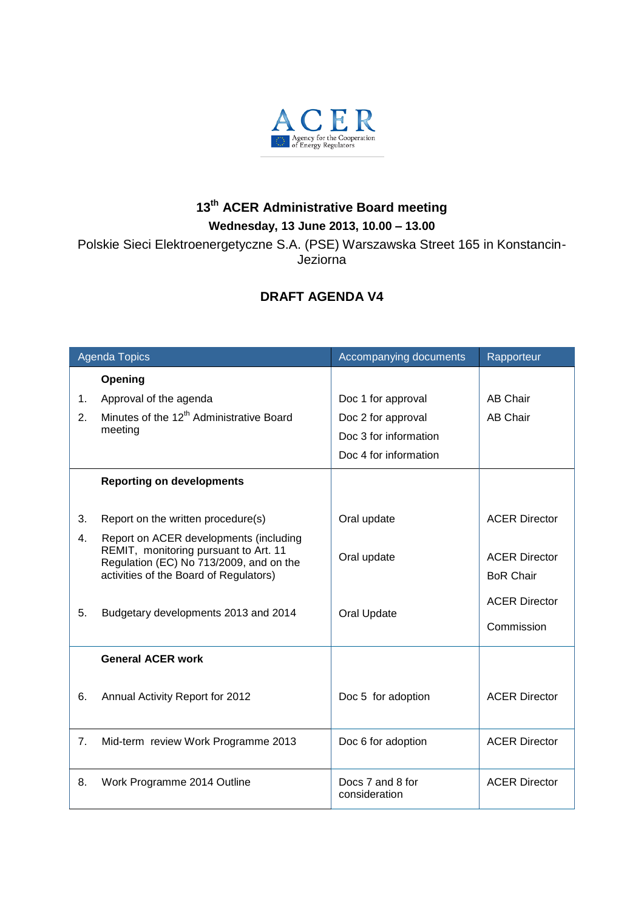

## **13 th ACER Administrative Board meeting Wednesday, 13 June 2013, 10.00 – 13.00**

Polskie Sieci Elektroenergetyczne S.A. (PSE) Warszawska Street 165 in Konstancin-Jeziorna

## **DRAFT AGENDA V4**

| <b>Agenda Topics</b> |                                                                                                                                                                      | Accompanying documents            | Rapporteur                               |
|----------------------|----------------------------------------------------------------------------------------------------------------------------------------------------------------------|-----------------------------------|------------------------------------------|
|                      | Opening                                                                                                                                                              |                                   |                                          |
| 1.                   | Approval of the agenda                                                                                                                                               | Doc 1 for approval                | <b>AB Chair</b>                          |
| 2.                   | Minutes of the 12 <sup>th</sup> Administrative Board<br>meeting                                                                                                      | Doc 2 for approval                | <b>AB Chair</b>                          |
|                      |                                                                                                                                                                      | Doc 3 for information             |                                          |
|                      |                                                                                                                                                                      | Doc 4 for information             |                                          |
|                      | <b>Reporting on developments</b>                                                                                                                                     |                                   |                                          |
|                      |                                                                                                                                                                      |                                   |                                          |
| 3.                   | Report on the written procedure(s)                                                                                                                                   | Oral update                       | <b>ACER Director</b>                     |
| 4.                   | Report on ACER developments (including<br>REMIT, monitoring pursuant to Art. 11<br>Regulation (EC) No 713/2009, and on the<br>activities of the Board of Regulators) | Oral update                       | <b>ACER Director</b><br><b>BoR Chair</b> |
|                      |                                                                                                                                                                      |                                   | <b>ACER Director</b>                     |
| 5.                   | Budgetary developments 2013 and 2014                                                                                                                                 | Oral Update                       | Commission                               |
|                      | <b>General ACER work</b>                                                                                                                                             |                                   |                                          |
| 6.                   | Annual Activity Report for 2012                                                                                                                                      | Doc 5 for adoption                | <b>ACER Director</b>                     |
| 7.                   | Mid-term review Work Programme 2013                                                                                                                                  | Doc 6 for adoption                | <b>ACER Director</b>                     |
| 8.                   | Work Programme 2014 Outline                                                                                                                                          | Docs 7 and 8 for<br>consideration | <b>ACER Director</b>                     |